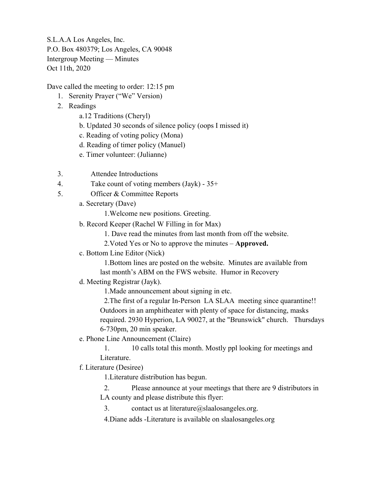Dave called the meeting to order: 12:15 pm

- 1. Serenity Prayer ("We" Version)
- 2. Readings
	- a.12 Traditions (Cheryl)
	- b. Updated 30 seconds of silence policy (oops I missed it)
	- c. Reading of voting policy (Mona)
	- d. Reading of timer policy (Manuel)
	- e. Timer volunteer: (Julianne)
- 3. Attendee Introductions
- 4. Take count of voting members (Jayk) 35+
- 5. Officer & Committee Reports
	- a. Secretary (Dave)

1.Welcome new positions. Greeting.

- b. Record Keeper (Rachel W Filling in for Max)
	- 1. Dave read the minutes from last month from off the website.
	- 2.Voted Yes or No to approve the minutes **Approved.**
- c. Bottom Line Editor (Nick)

1.Bottom lines are posted on the website. Minutes are available from last month's ABM on the FWS website. Humor in Recovery

d. Meeting Registrar (Jayk).

1.Made announcement about signing in etc.

2.The first of a regular In-Person LA SLAA meeting since quarantine!! Outdoors in an amphitheater with plenty of space for distancing, masks required. 2930 Hyperion, LA 90027, at the "Brunswick" church. Thursdays 6-730pm, 20 min speaker.

e. Phone Line Announcement (Claire)

1. 10 calls total this month. Mostly ppl looking for meetings and Literature.

f. Literature (Desiree)

1.Literature distribution has begun.

2. Please announce at your meetings that there are 9 distributors in LA county and please distribute this flyer:

3. contact us at literature $@$ slaalosangeles.org.

4.Diane adds -Literature is available on slaalosangeles.org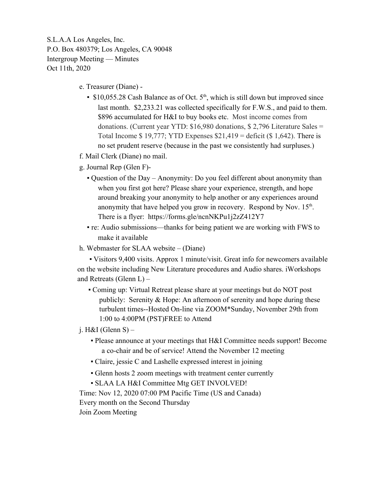- e. Treasurer (Diane)
	- $\bullet$  \$10,055.28 Cash Balance as of Oct. 5<sup>th</sup>, which is still down but improved since last month. \$2,233.21 was collected specifically for F.W.S., and paid to them. \$896 accumulated for H&I to buy books etc. Most income comes from donations. (Current year YTD: \$16,980 donations, \$ 2,796 Literature Sales = Total Income  $$ 19,777$ ; YTD Expenses  $$21,419 =$  deficit ( $$ 1,642$ ). There is no set prudent reserve (because in the past we consistently had surpluses.)
- f. Mail Clerk (Diane) no mail.
- g. Journal Rep (Glen F)-
	- Question of the Day Anonymity: Do you feel different about anonymity than when you first got here? Please share your experience, strength, and hope around breaking your anonymity to help another or any experiences around anonymity that have helped you grow in recovery. Respond by Nov.  $15<sup>th</sup>$ . There is a flyer: https://forms.gle/ncnNKPu1j2zZ412Y7
	- re: Audio submissions—thanks for being patient we are working with FWS to make it available
- h. Webmaster for SLAA website (Diane)

▪ Visitors 9,400 visits. Approx 1 minute/visit. Great info for newcomers available on the website including New Literature procedures and Audio shares. iWorkshops and Retreats (Glenn L) –

▪ Coming up: Virtual Retreat please share at your meetings but do NOT post publicly: Serenity & Hope: An afternoon of serenity and hope during these turbulent times--Hosted On-line via ZOOM\*Sunday, November 29th from 1:00 to 4:00PM (PST)FREE to Attend

j. H&I (Glenn S) –

- Please announce at your meetings that H&I Committee needs support! Become a co-chair and be of service! Attend the November 12 meeting
- Claire, jessie C and Lashelle expressed interest in joining
- Glenn hosts 2 zoom meetings with treatment center currently
- SLAA LA H&I Committee Mtg GET INVOLVED!

Time: Nov 12, 2020 07:00 PM Pacific Time (US and Canada)

Every month on the Second Thursday

Join Zoom Meeting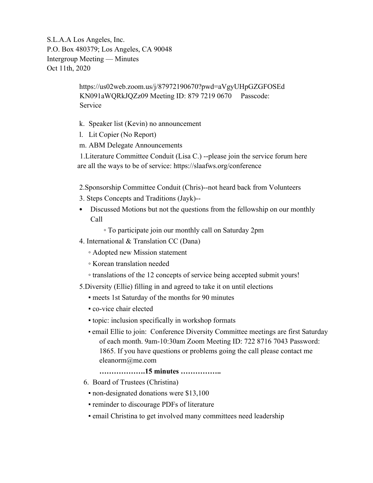> https://us02web.zoom.us/j/87972190670?pwd=aVgyUHpGZGFOSEd KN091aWQRkJQZz09 Meeting ID: 879 7219 0670 Passcode: Service

- k. Speaker list (Kevin) no announcement
- l. Lit Copier (No Report)
- m. ABM Delegate Announcements

1.Literature Committee Conduit (Lisa C.) --please join the service forum here are all the ways to be of service: https://slaafws.org/conference

2.Sponsorship Committee Conduit (Chris)--not heard back from Volunteers

- 3. Steps Concepts and Traditions (Jayk)--
- Discussed Motions but not the questions from the fellowship on our monthly Call

◦ To participate join our monthly call on Saturday 2pm

- 4. International & Translation CC (Dana)
	- Adopted new Mission statement
	- Korean translation needed
	- translations of the 12 concepts of service being accepted submit yours!
- 5.Diversity (Ellie) filling in and agreed to take it on until elections
	- meets 1st Saturday of the months for 90 minutes
	- co-vice chair elected
	- topic: inclusion specifically in workshop formats
	- email Ellie to join: Conference Diversity Committee meetings are first Saturday of each month. 9am-10:30am Zoom Meeting ID: 722 8716 7043 Password: 1865. If you have questions or problems going the call please contact me eleanorm@me.com

**……………….15 minutes ……………..**

- 6. Board of Trustees (Christina)
	- non-designated donations were \$13,100
	- **reminder to discourage PDFs of literature**
	- email Christina to get involved many committees need leadership